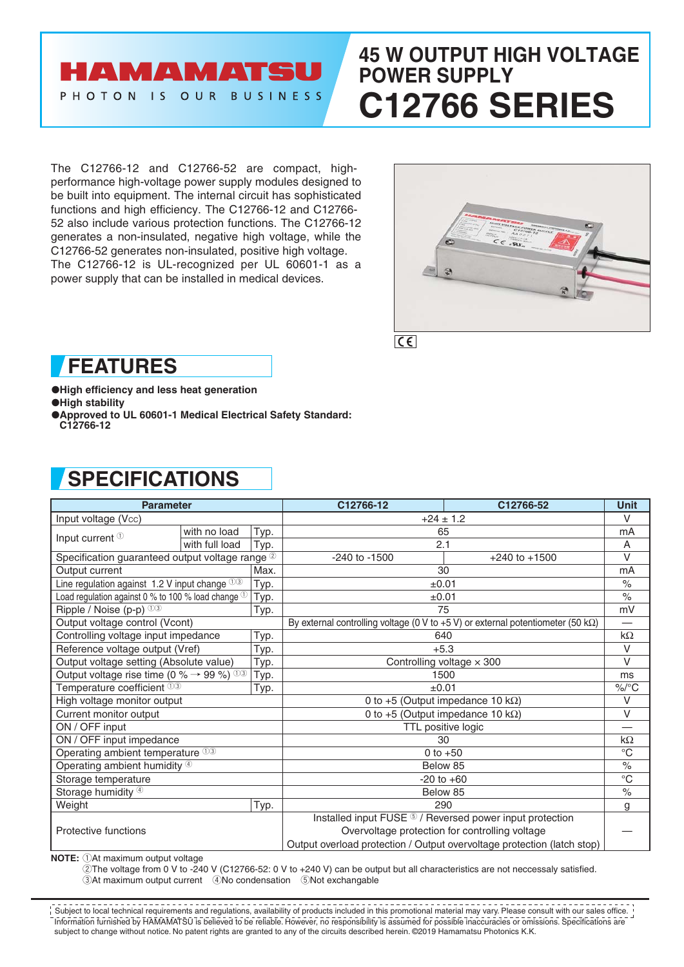## HAMAMATSU PHOTON IS OUR BUSINESS

# **45 W OUTPUT HIGH VOLTAGE POWER SUPPLY C12766 SERIES**

The C12766-12 and C12766-52 are compact, highperformance high-voltage power supply modules designed to be built into equipment. The internal circuit has sophisticated functions and high efficiency. The C12766-12 and C12766- 52 also include various protection functions. The C12766-12 generates a non-insulated, negative high voltage, while the C12766-52 generates non-insulated, positive high voltage. The C12766-12 is UL-recognized per UL 60601-1 as a power supply that can be installed in medical devices.



 $|C \epsilon|$ 

## **FEATURES**

●**High efficiency and less heat generation** ●**High stability**

●**Approved to UL 60601-1 Medical Electrical Safety Standard: C12766-12**

## **SPECIFICATIONS**

| <b>Parameter</b>                                                |                |                                                                                          | C12766-12                        | C12766-52                                                               | <b>Unit</b> |
|-----------------------------------------------------------------|----------------|------------------------------------------------------------------------------------------|----------------------------------|-------------------------------------------------------------------------|-------------|
| Input voltage (Vcc)                                             |                |                                                                                          | $+24 \pm 1.2$                    |                                                                         | $\vee$      |
| Input current <sup>1</sup>                                      | with no load   | Typ.                                                                                     | 65                               |                                                                         | mA          |
|                                                                 | with full load | Typ.                                                                                     | 2.1                              |                                                                         | A           |
| Specification guaranteed output voltage range 2                 |                | $-240$ to $-1500$                                                                        | $+240$ to $+1500$                | $\vee$                                                                  |             |
| Output current                                                  |                | Max.                                                                                     | 30                               |                                                                         | mA          |
| Line regulation against 1.2 V input change $0$ 3                |                | Typ.                                                                                     | ±0.01                            |                                                                         | $\%$        |
| Load regulation against 0 % to 100 % load change $^{\circledR}$ |                | Typ.                                                                                     | ±0.01                            |                                                                         | $\%$        |
| Ripple / Noise (p-p) $003$                                      |                | Typ.                                                                                     | 75                               |                                                                         | mV          |
| Output voltage control (Vcont)                                  |                | By external controlling voltage (0 V to +5 V) or external potentiometer (50 k $\Omega$ ) |                                  | $\overline{\phantom{0}}$                                                |             |
| Controlling voltage input impedance                             |                | Typ.                                                                                     | 640                              |                                                                         | $k\Omega$   |
| Reference voltage output (Vref)                                 |                | Typ.                                                                                     | $+5.3$                           |                                                                         | V           |
| Output voltage setting (Absolute value)                         |                | Typ.                                                                                     | Controlling voltage $\times$ 300 |                                                                         | $\vee$      |
| Output voltage rise time (0 % $\rightarrow$ 99 %) 03            |                | Typ.                                                                                     | 1500                             |                                                                         | ms          |
| Temperature coefficient $00$                                    |                | Typ.                                                                                     | ±0.01                            |                                                                         | $\%$ /°C    |
| High voltage monitor output                                     |                | 0 to +5 (Output impedance 10 k $\Omega$ )                                                |                                  | $\vee$                                                                  |             |
| Current monitor output                                          |                | 0 to +5 (Output impedance 10 k $\Omega$ )                                                |                                  | V                                                                       |             |
| ON / OFF input                                                  |                | TTL positive logic                                                                       |                                  |                                                                         |             |
| ON / OFF input impedance                                        |                | 30                                                                                       |                                  | $k\Omega$                                                               |             |
| Operating ambient temperature 03                                |                | 0 to $+50$                                                                               |                                  | $^{\circ}C$                                                             |             |
| Operating ambient humidity $\Phi$                               |                | Below 85                                                                                 |                                  | $\%$                                                                    |             |
| Storage temperature                                             |                | $-20$ to $+60$                                                                           |                                  | $^{\circ}C$                                                             |             |
| Storage humidity 4                                              |                | Below 85                                                                                 |                                  | $\frac{1}{\alpha}$                                                      |             |
| Weight                                                          |                | Typ.                                                                                     | 290                              |                                                                         | g           |
| Protective functions                                            |                | Installed input FUSE 5 / Reversed power input protection                                 |                                  |                                                                         |             |
|                                                                 |                | Overvoltage protection for controlling voltage                                           |                                  |                                                                         |             |
|                                                                 |                |                                                                                          |                                  | Output overload protection / Output overvoltage protection (latch stop) |             |

**NOTE:**  $\bigcirc$  At maximum output voltage

2The voltage from 0 V to -240 V (C12766-52: 0 V to +240 V) can be output but all characteristics are not neccessaly satisfied. 3At maximum output current 4No condensation 5Not exchangable

Information furnished by HAMAMATSU is believed to be reliable. However, no responsibility is assumed for possible inaccuracies or omissions. Specifications are subject to change without notice. No patent rights are granted to any of the circuits described herein. ©2019 Hamamatsu Photonics K.K. **Subject to local technical requirements and regulations, availability of products included in this promotional material may vary. Please consult with our sales office.**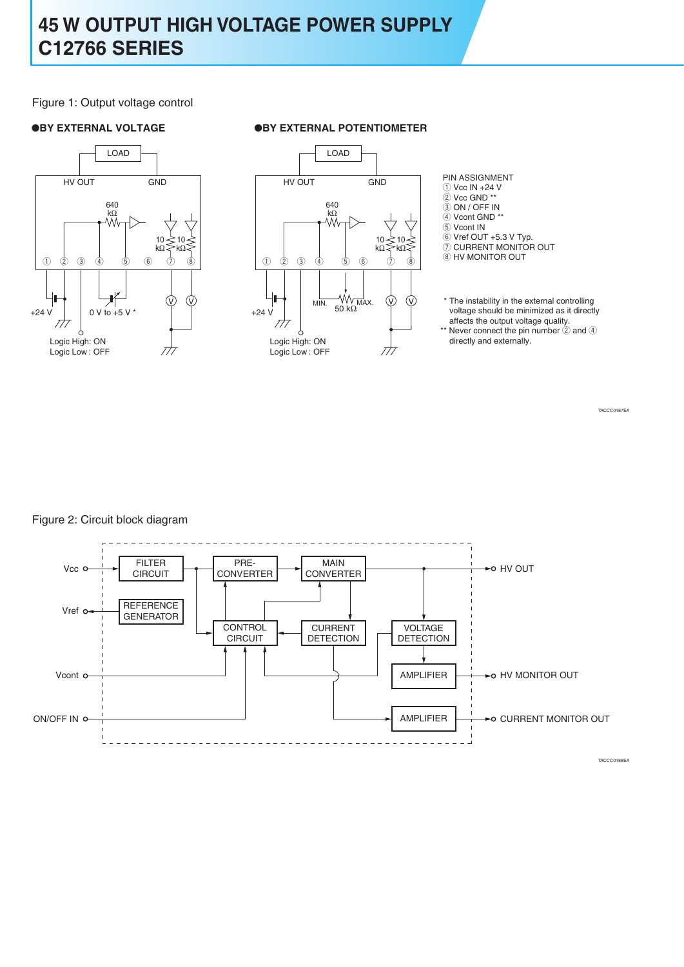## **45 W OUTPUT HIGH VOLTAGE POWER SUPPLY C12766 SERIES**

### Figure 1: Output voltage control



### ●**BY EXTERNAL VOLTAGE** ●**BY EXTERNAL POTENTIOMETER**



PIN ASSIGNMENT  $\overline{()}$  Vcc IN +24 V  $\overline{2}$  Vcc GND \*\* e ON / OFF IN 4 Vcont GND \*\* **5** Vcont IN

 $6$  Vref OUT +5.3 V Typ.

 $Q$  CURRENT MONITOR OUT

 $@$  HV MONITOR OUT

MIN.  $\frac{W}{W}$  W  $\frac{W}{W}$  (V)  $\frac{W}{W}$  The instability in the external controlling voltage should be minimized as it directly affects the output voltage quality.

\*\* Never connect the pin number  $(2)$  and  $(4)$ directly and externally.

TACCC0187EA

Figure 2: Circuit block diagram

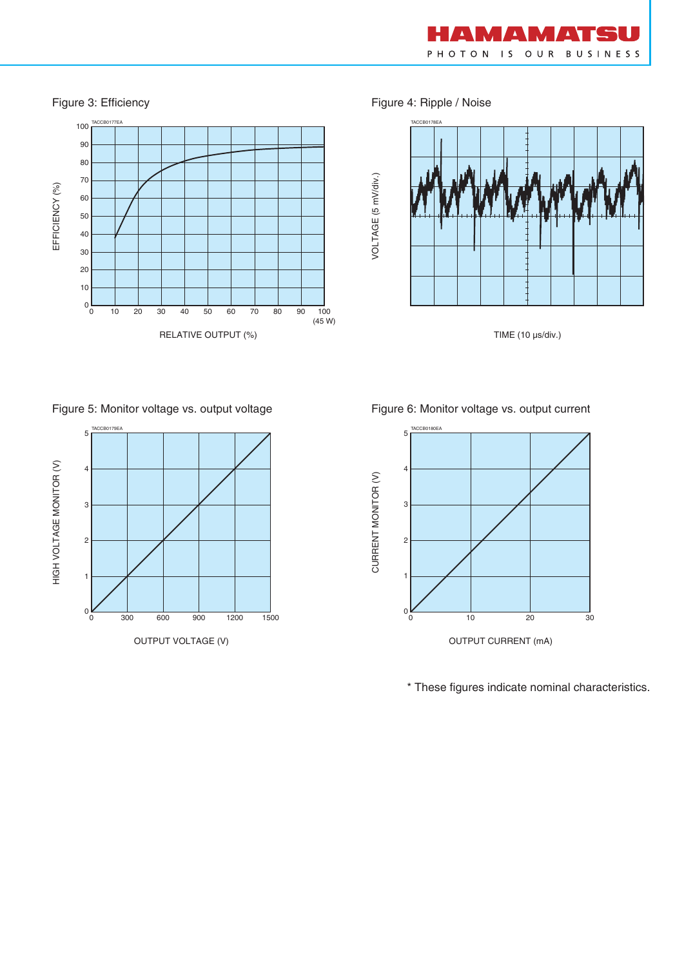

Figure 3: Efficiency **Figure 4: Ripple / Noise** 



TIME (10 µs/div.)



Figure 5: Monitor voltage vs. output voltage Figure 6: Monitor voltage vs. output current



\* These figures indicate nominal characteristics.

100 TACCB0177EA TACCB0178EA 90 80 70 EFFICIENCY (%) EFFICIENCY (%) 60 50 40 30 20 10  $0\frac{L}{0}$ 0 10 20 30 40 60 70 80 90 50 100 (45 W) RELATIVE OUTPUT (%)